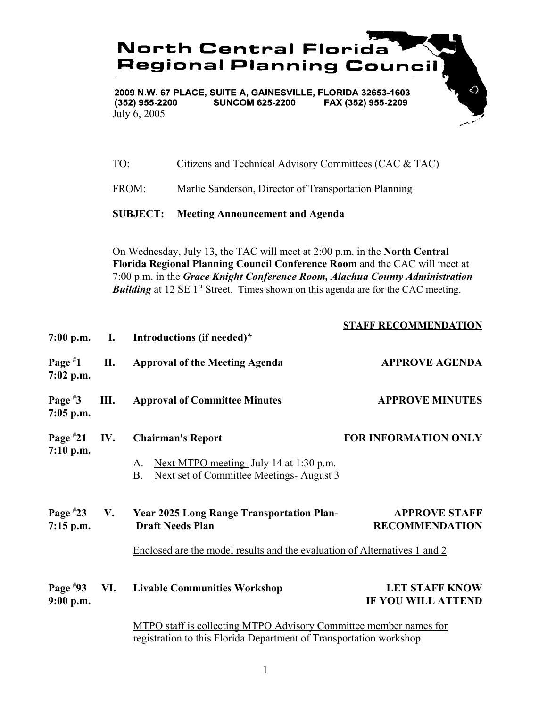|                           |                                       |                                                                           | <b>North Central Florida</b><br><b>Regional Planning Council</b>                                                                                                                                                                                                                                                                                 |                                                    |  |
|---------------------------|---------------------------------------|---------------------------------------------------------------------------|--------------------------------------------------------------------------------------------------------------------------------------------------------------------------------------------------------------------------------------------------------------------------------------------------------------------------------------------------|----------------------------------------------------|--|
|                           | (352) 955-2200<br>July 6, 2005<br>TO: |                                                                           | 2009 N.W. 67 PLACE, SUITE A, GAINESVILLE, FLORIDA 32653-1603<br><b>SUNCOM 625-2200</b>                                                                                                                                                                                                                                                           | ♦<br>FAX (352) 955-2209                            |  |
|                           |                                       |                                                                           | Citizens and Technical Advisory Committees (CAC & TAC)                                                                                                                                                                                                                                                                                           |                                                    |  |
|                           | FROM:                                 |                                                                           | Marlie Sanderson, Director of Transportation Planning                                                                                                                                                                                                                                                                                            |                                                    |  |
|                           | <b>SUBJECT:</b>                       |                                                                           | <b>Meeting Announcement and Agenda</b>                                                                                                                                                                                                                                                                                                           |                                                    |  |
|                           |                                       |                                                                           | On Wednesday, July 13, the TAC will meet at 2:00 p.m. in the North Central<br>Florida Regional Planning Council Conference Room and the CAC will meet at<br>7:00 p.m. in the Grace Knight Conference Room, Alachua County Administration<br><b>Building</b> at 12 SE 1 <sup>st</sup> Street. Times shown on this agenda are for the CAC meeting. |                                                    |  |
| $7:00$ p.m.               | Ι.                                    |                                                                           | Introductions (if needed)*                                                                                                                                                                                                                                                                                                                       | <b>STAFF RECOMMENDATION</b>                        |  |
| Page $*1$<br>$7:02$ p.m.  | П.                                    |                                                                           | <b>Approval of the Meeting Agenda</b>                                                                                                                                                                                                                                                                                                            | <b>APPROVE AGENDA</b>                              |  |
| Page $*3$<br>$7:05$ p.m.  | Ш.                                    |                                                                           | <b>Approval of Committee Minutes</b>                                                                                                                                                                                                                                                                                                             | <b>APPROVE MINUTES</b>                             |  |
| Page $*21$<br>7:10 p.m.   | IV.                                   |                                                                           | <b>Chairman's Report</b>                                                                                                                                                                                                                                                                                                                         | <b>FOR INFORMATION ONLY</b>                        |  |
|                           |                                       | A.<br><b>B.</b>                                                           | Next MTPO meeting- July 14 at 1:30 p.m.<br>Next set of Committee Meetings-August 3                                                                                                                                                                                                                                                               |                                                    |  |
| Page $*23$<br>$7:15$ p.m. | V.                                    |                                                                           | <b>Year 2025 Long Range Transportation Plan-</b><br><b>Draft Needs Plan</b>                                                                                                                                                                                                                                                                      | <b>APPROVE STAFF</b><br><b>RECOMMENDATION</b>      |  |
|                           |                                       | Enclosed are the model results and the evaluation of Alternatives 1 and 2 |                                                                                                                                                                                                                                                                                                                                                  |                                                    |  |
| Page $*93$<br>9:00 p.m.   | VI.                                   |                                                                           | <b>Livable Communities Workshop</b>                                                                                                                                                                                                                                                                                                              | <b>LET STAFF KNOW</b><br><b>IF YOU WILL ATTEND</b> |  |
|                           |                                       |                                                                           | MTPO staff is collecting MTPO Advisory Committee member names for<br>registration to this Florida Department of Transportation workshop                                                                                                                                                                                                          |                                                    |  |